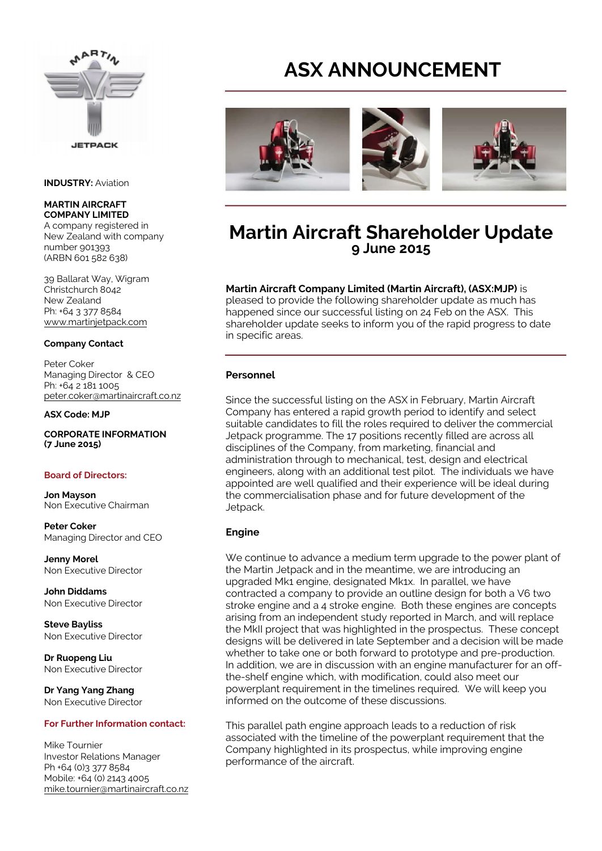

#### **INDUSTRY:** Aviation

#### **MARTIN AIRCRAFT COMPANY LIMITED**

A company registered in New Zealand with company number 901393 (ARBN 601 582 638)

39 Ballarat Way, Wigram Christchurch 8042 New Zealand Ph: +64 3 377 8584 www.martinjetpack.com

#### **Company Contact**

Peter Coker Managing Director & CEO Ph: +64 2 181 1005 peter.coker@martinaircraft.co.nz

#### **ASX Code: MJP**

**CORPORATE INFORMATION (7 June 2015)** 

#### **Board of Directors:**

**Jon Mayson** Non Executive Chairman

**Peter Coker** Managing Director and CEO

**Jenny Morel** Non Executive Director

**John Diddams** Non Executive Director

**Steve Bayliss** Non Executive Director

**Dr Ruopeng Liu** Non Executive Director

**Dr Yang Yang Zhang** Non Executive Director

#### **For Further Information contact:**

Mike Tournier Investor Relations Manager Ph +64 (0)3 377 8584 Mobile: +64 (0) 2143 4005 mike.tournier@martinaircraft.co.nz

# **ASX ANNOUNCEMENT**



# **Martin Aircraft Shareholder Update 9 June 2015**

## **Martin Aircraft Company Limited (Martin Aircraft), (ASX:MJP)** is

pleased to provide the following shareholder update as much has happened since our successful listing on 24 Feb on the ASX. This shareholder update seeks to inform you of the rapid progress to date in specific areas.

#### **Personnel**

Since the successful listing on the ASX in February, Martin Aircraft Company has entered a rapid growth period to identify and select suitable candidates to fill the roles required to deliver the commercial Jetpack programme. The 17 positions recently filled are across all disciplines of the Company, from marketing, financial and administration through to mechanical, test, design and electrical engineers, along with an additional test pilot. The individuals we have appointed are well qualified and their experience will be ideal during the commercialisation phase and for future development of the Jetpack.

#### **Engine**

We continue to advance a medium term upgrade to the power plant of the Martin Jetpack and in the meantime, we are introducing an upgraded Mk1 engine, designated Mk1x. In parallel, we have contracted a company to provide an outline design for both a V6 two stroke engine and a 4 stroke engine. Both these engines are concepts arising from an independent study reported in March, and will replace the MkII project that was highlighted in the prospectus. These concept designs will be delivered in late September and a decision will be made whether to take one or both forward to prototype and pre-production. In addition, we are in discussion with an engine manufacturer for an offthe-shelf engine which, with modification, could also meet our powerplant requirement in the timelines required. We will keep you informed on the outcome of these discussions.

This parallel path engine approach leads to a reduction of risk associated with the timeline of the powerplant requirement that the Company highlighted in its prospectus, while improving engine performance of the aircraft.